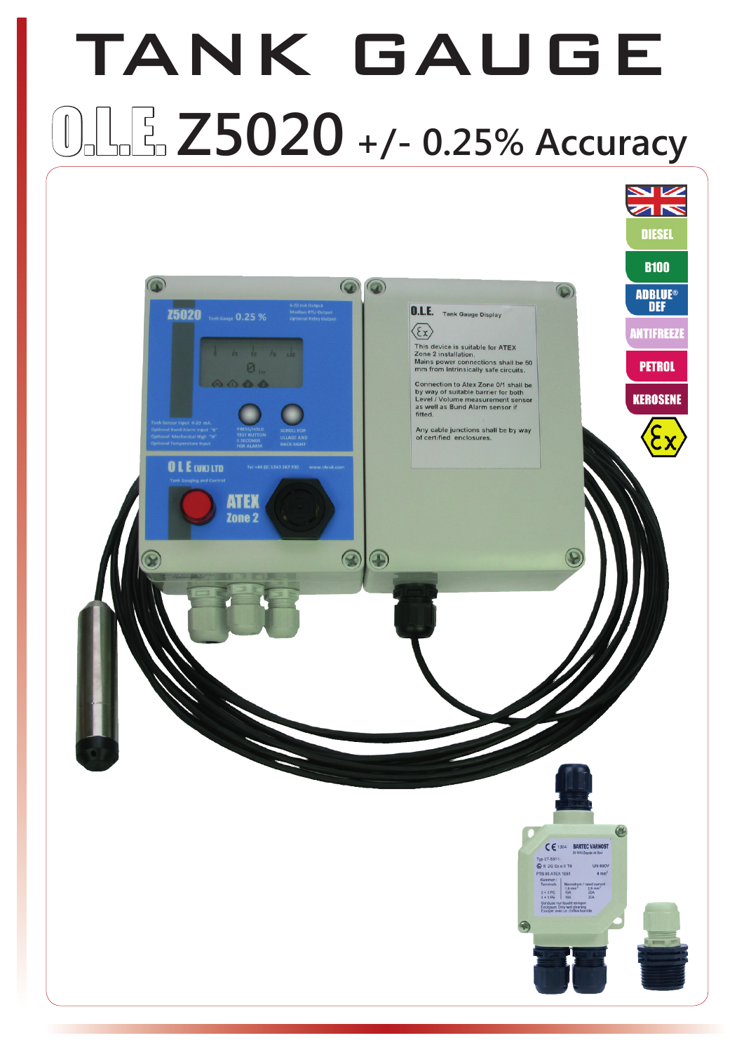## TANK GAUGE  $1.5$   $Z$ 5020 +/- 0.25% Accuracy